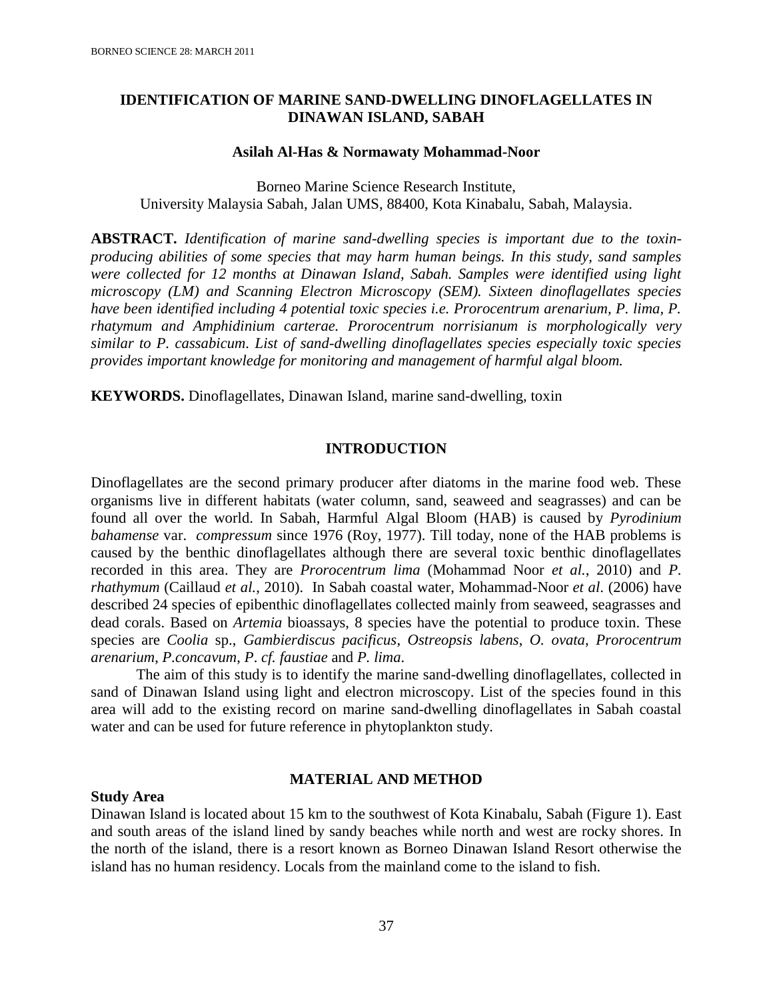### **IDENTIFICATION OF MARINE SAND-DWELLING DINOFLAGELLATES IN DINAWAN ISLAND, SABAH**

#### **Asilah Al-Has & Normawaty Mohammad-Noor**

Borneo Marine Science Research Institute, University Malaysia Sabah, Jalan UMS, 88400, Kota Kinabalu, Sabah, Malaysia.

**ABSTRACT.** *Identification of marine sand-dwelling species is important due to the toxinproducing abilities of some species that may harm human beings. In this study, sand samples were collected for 12 months at Dinawan Island, Sabah. Samples were identified using light microscopy (LM) and Scanning Electron Microscopy (SEM). Sixteen dinoflagellates species have been identified including 4 potential toxic species i.e. Prorocentrum arenarium, P. lima, P. rhatymum and Amphidinium carterae. Prorocentrum norrisianum is morphologically very similar to P. cassabicum. List of sand-dwelling dinoflagellates species especially toxic species provides important knowledge for monitoring and management of harmful algal bloom.*

**KEYWORDS.** Dinoflagellates, Dinawan Island, marine sand-dwelling, toxin

### **INTRODUCTION**

Dinoflagellates are the second primary producer after diatoms in the marine food web. These organisms live in different habitats (water column, sand, seaweed and seagrasses) and can be found all over the world. In Sabah, Harmful Algal Bloom (HAB) is caused by *Pyrodinium bahamense* var. *compressum* since 1976 (Roy, 1977). Till today, none of the HAB problems is caused by the benthic dinoflagellates although there are several toxic benthic dinoflagellates recorded in this area. They are *Prorocentrum lima* (Mohammad Noor *et al.*, 2010) and *P. rhathymum* (Caillaud *et al.*, 2010). In Sabah coastal water, Mohammad-Noor *et al*. (2006) have described 24 species of epibenthic dinoflagellates collected mainly from seaweed, seagrasses and dead corals. Based on *Artemia* bioassays, 8 species have the potential to produce toxin. These species are *Coolia* sp., *Gambierdiscus pacificus*, *Ostreopsis labens*, *O. ovata*, *Prorocentrum arenarium*, *P.concavum*, *P*. *cf. faustiae* and *P. lima*.

The aim of this study is to identify the marine sand-dwelling dinoflagellates, collected in sand of Dinawan Island using light and electron microscopy. List of the species found in this area will add to the existing record on marine sand-dwelling dinoflagellates in Sabah coastal water and can be used for future reference in phytoplankton study.

### **MATERIAL AND METHOD**

#### **Study Area**

Dinawan Island is located about 15 km to the southwest of Kota Kinabalu, Sabah (Figure 1). East and south areas of the island lined by sandy beaches while north and west are rocky shores. In the north of the island, there is a resort known as Borneo Dinawan Island Resort otherwise the island has no human residency. Locals from the mainland come to the island to fish.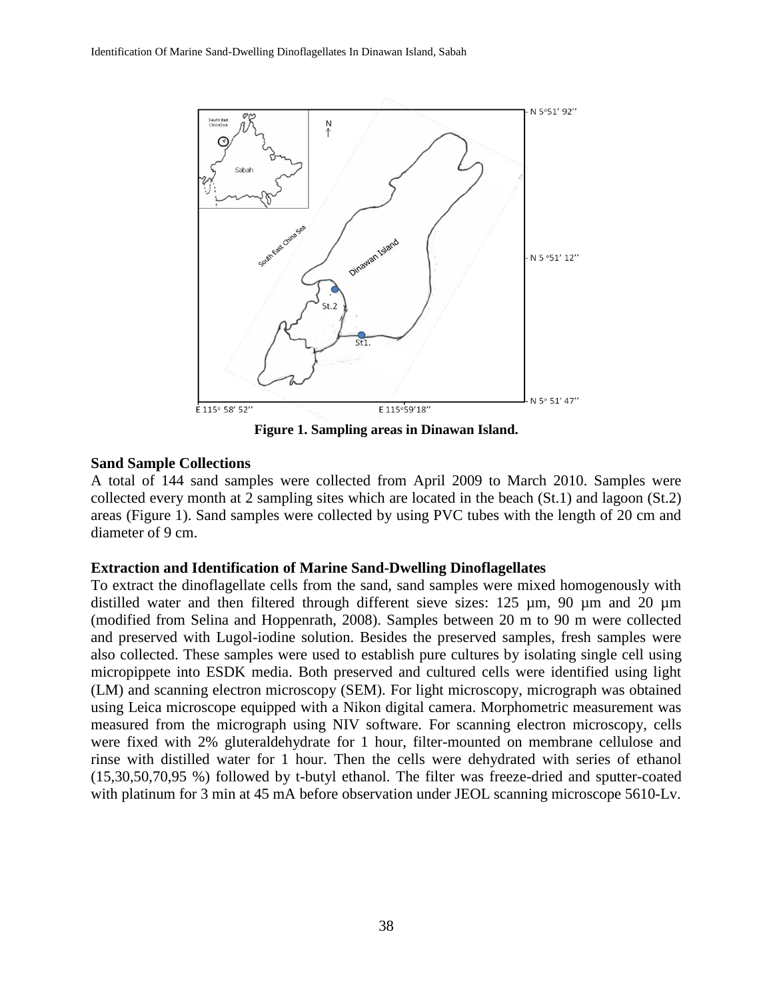

**Figure 1. Sampling areas in Dinawan Island.**

## **Sand Sample Collections**

A total of 144 sand samples were collected from April 2009 to March 2010. Samples were collected every month at 2 sampling sites which are located in the beach (St.1) and lagoon (St.2) areas (Figure 1). Sand samples were collected by using PVC tubes with the length of 20 cm and diameter of 9 cm.

### **Extraction and Identification of Marine Sand-Dwelling Dinoflagellates**

To extract the dinoflagellate cells from the sand, sand samples were mixed homogenously with distilled water and then filtered through different sieve sizes: 125  $\mu$ m, 90  $\mu$ m and 20  $\mu$ m (modified from Selina and Hoppenrath, 2008). Samples between 20 m to 90 m were collected and preserved with Lugol-iodine solution. Besides the preserved samples, fresh samples were also collected. These samples were used to establish pure cultures by isolating single cell using micropippete into ESDK media. Both preserved and cultured cells were identified using light (LM) and scanning electron microscopy (SEM). For light microscopy, micrograph was obtained using Leica microscope equipped with a Nikon digital camera. Morphometric measurement was measured from the micrograph using NIV software. For scanning electron microscopy, cells were fixed with 2% gluteraldehydrate for 1 hour, filter-mounted on membrane cellulose and rinse with distilled water for 1 hour. Then the cells were dehydrated with series of ethanol (15,30,50,70,95 %) followed by t-butyl ethanol. The filter was freeze-dried and sputter-coated with platinum for 3 min at 45 mA before observation under JEOL scanning microscope 5610-Lv.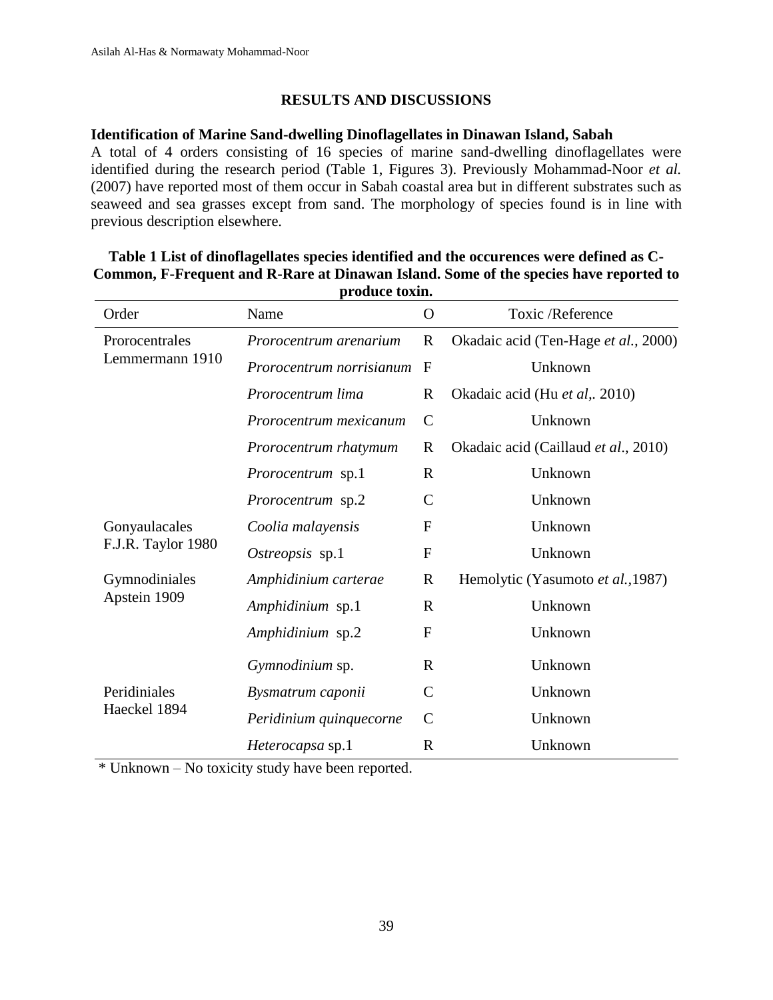## **RESULTS AND DISCUSSIONS**

### **Identification of Marine Sand-dwelling Dinoflagellates in Dinawan Island, Sabah**

A total of 4 orders consisting of 16 species of marine sand-dwelling dinoflagellates were identified during the research period (Table 1, Figures 3). Previously Mohammad-Noor *et al.* (2007) have reported most of them occur in Sabah coastal area but in different substrates such as seaweed and sea grasses except from sand. The morphology of species found is in line with previous description elsewhere.

|                                     | <i>IL</i> OWWOO COMMIS   |               |                                      |  |
|-------------------------------------|--------------------------|---------------|--------------------------------------|--|
| Order                               | Name                     | $\Omega$      | Toxic /Reference                     |  |
| Prorocentrales<br>Lemmermann 1910   | Prorocentrum arenarium   | $\mathbf R$   | Okadaic acid (Ten-Hage et al., 2000) |  |
|                                     | Prorocentrum norrisianum | $\mathbf{F}$  | Unknown                              |  |
|                                     | Prorocentrum lima        | R             | Okadaic acid (Hu et al,. 2010)       |  |
|                                     | Prorocentrum mexicanum   | $\mathsf{C}$  | Unknown                              |  |
|                                     | Prorocentrum rhatymum    | $\mathbf R$   | Okadaic acid (Caillaud et al., 2010) |  |
|                                     | <i>Prorocentrum</i> sp.1 | $\mathbf R$   | Unknown                              |  |
|                                     | Prorocentrum sp.2        | $\mathcal{C}$ | Unknown                              |  |
| Gonyaulacales<br>F.J.R. Taylor 1980 | Coolia malayensis        | $\mathbf F$   | Unknown                              |  |
|                                     | Ostreopsis sp.1          | $\mathbf F$   | Unknown                              |  |
| Gymnodiniales<br>Apstein 1909       | Amphidinium carterae     | $\mathbf R$   | Hemolytic (Yasumoto et al., 1987)    |  |
|                                     | Amphidinium sp.1         | $\mathbf R$   | Unknown                              |  |
|                                     | Amphidinium sp.2         | $\mathbf{F}$  | Unknown                              |  |
|                                     | Gymnodinium sp.          | $\mathbf R$   | Unknown                              |  |
| Peridiniales<br>Haeckel 1894        | Bysmatrum caponii        | $\mathcal{C}$ | Unknown                              |  |
|                                     | Peridinium quinquecorne  | $\mathcal{C}$ | Unknown                              |  |
|                                     | Heterocapsa sp.1         | $\mathbf R$   | Unknown                              |  |
|                                     |                          |               |                                      |  |

### **Table 1 List of dinoflagellates species identified and the occurences were defined as C-Common, F-Frequent and R-Rare at Dinawan Island. Some of the species have reported to produce toxin.**

\* Unknown – No toxicity study have been reported.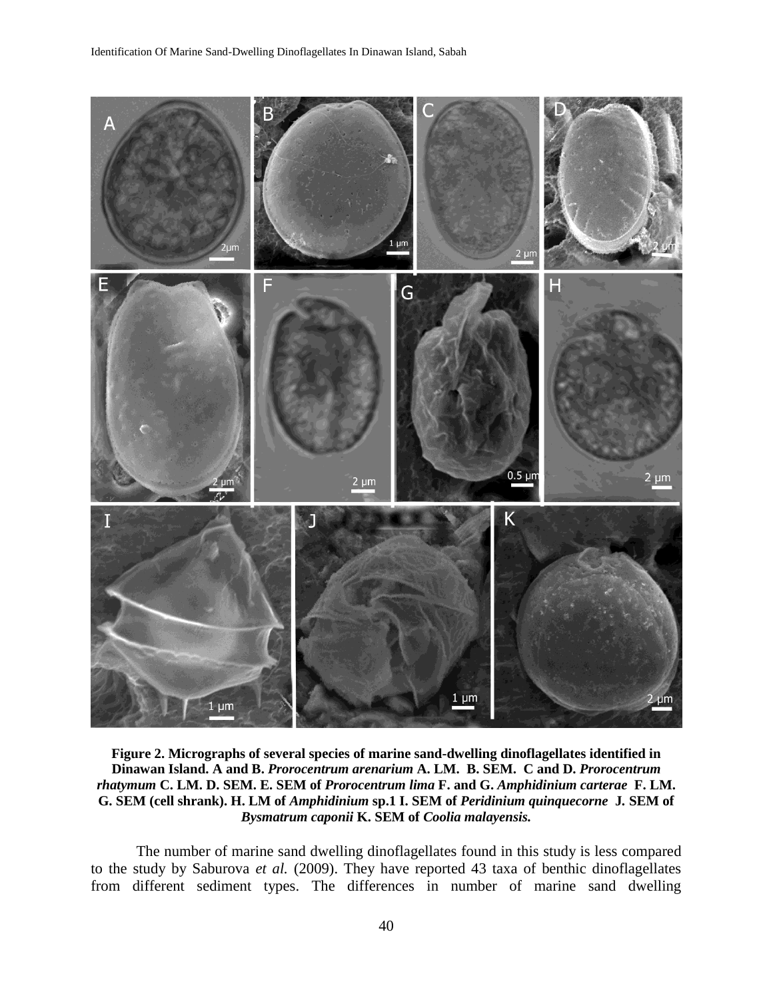

**Figure 2. Micrographs of several species of marine sand-dwelling dinoflagellates identified in Dinawan Island. A and B.** *Prorocentrum arenarium* **A. LM. B. SEM. C and D.** *Prorocentrum rhatymum* **C. LM. D. SEM. E. SEM of** *Prorocentrum lima* **F. and G.** *Amphidinium carterae* **F. LM. G. SEM (cell shrank). H. LM of** *Amphidinium* **sp.1 I. SEM of** *Peridinium quinquecorne* **J***.* **SEM of** *Bysmatrum caponii* **K. SEM of** *Coolia malayensis.*

The number of marine sand dwelling dinoflagellates found in this study is less compared to the study by Saburova *et al.* (2009). They have reported 43 taxa of benthic dinoflagellates from different sediment types. The differences in number of marine sand dwelling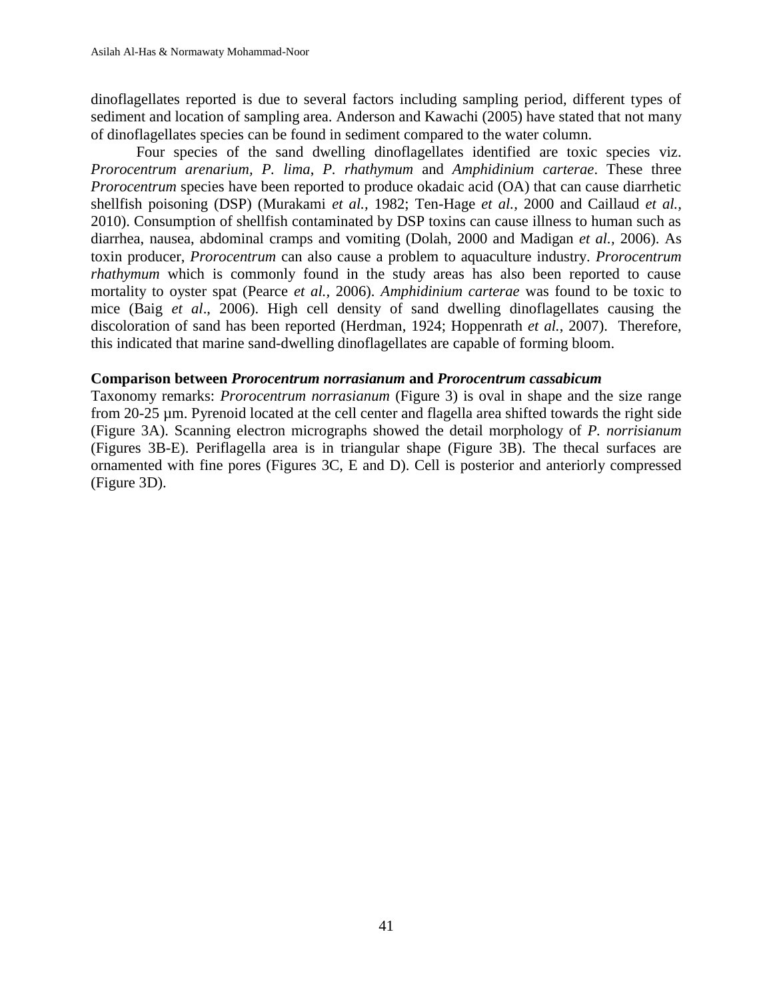dinoflagellates reported is due to several factors including sampling period, different types of sediment and location of sampling area. Anderson and Kawachi (2005) have stated that not many of dinoflagellates species can be found in sediment compared to the water column.

Four species of the sand dwelling dinoflagellates identified are toxic species viz. *Prorocentrum arenarium, P. lima*, *P. rhathymum* and *Amphidinium carterae*. These three *Prorocentrum* species have been reported to produce okadaic acid (OA) that can cause diarrhetic shellfish poisoning (DSP) (Murakami *et al.,* 1982; Ten-Hage *et al.,* 2000 and Caillaud *et al.,* 2010). Consumption of shellfish contaminated by DSP toxins can cause illness to human such as diarrhea, nausea, abdominal cramps and vomiting (Dolah, 2000 and Madigan *et al.,* 2006). As toxin producer, *Prorocentrum* can also cause a problem to aquaculture industry. *Prorocentrum rhathymum* which is commonly found in the study areas has also been reported to cause mortality to oyster spat (Pearce *et al.,* 2006). *Amphidinium carterae* was found to be toxic to mice (Baig *et al*., 2006). High cell density of sand dwelling dinoflagellates causing the discoloration of sand has been reported (Herdman, 1924; Hoppenrath *et al.*, 2007). Therefore, this indicated that marine sand-dwelling dinoflagellates are capable of forming bloom.

### **Comparison between** *Prorocentrum norrasianum* **and** *Prorocentrum cassabicum*

Taxonomy remarks: *Prorocentrum norrasianum* (Figure 3) is oval in shape and the size range from 20-25 µm. Pyrenoid located at the cell center and flagella area shifted towards the right side (Figure 3A). Scanning electron micrographs showed the detail morphology of *P. norrisianum* (Figures 3B-E). Periflagella area is in triangular shape (Figure 3B). The thecal surfaces are ornamented with fine pores (Figures 3C, E and D). Cell is posterior and anteriorly compressed (Figure 3D).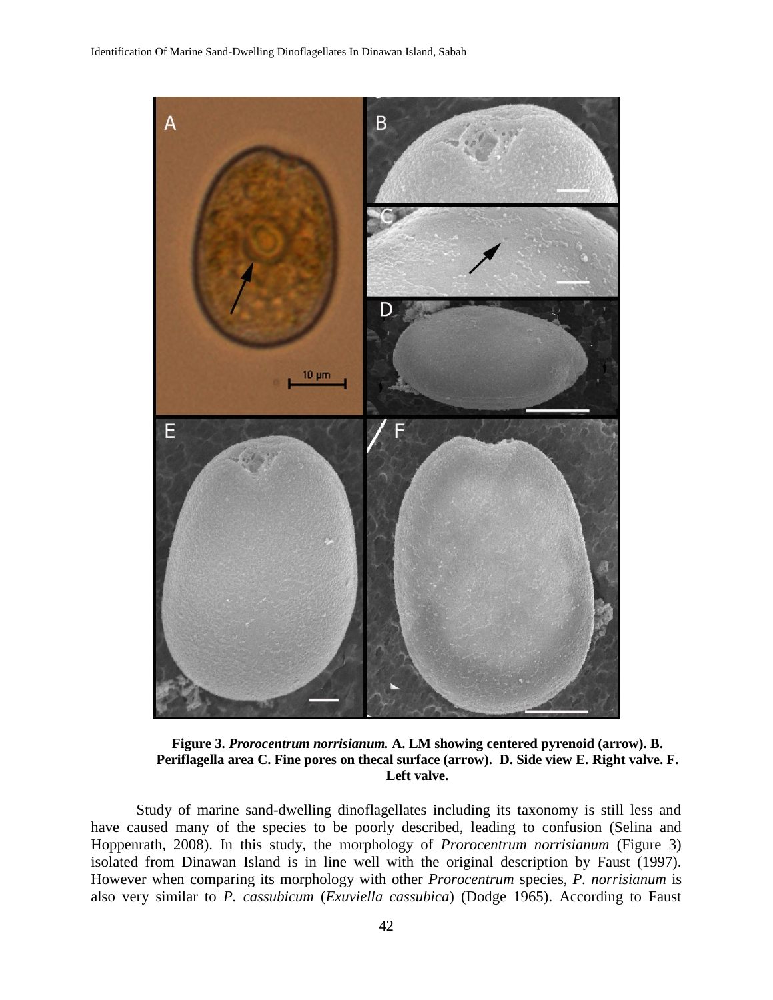

**Figure 3.** *Prorocentrum norrisianum.* **A. LM showing centered pyrenoid (arrow). B. Periflagella area C. Fine pores on thecal surface (arrow). D. Side view E. Right valve. F. Left valve.**

Study of marine sand-dwelling dinoflagellates including its taxonomy is still less and have caused many of the species to be poorly described, leading to confusion (Selina and Hoppenrath, 2008). In this study, the morphology of *Prorocentrum norrisianum* (Figure 3) isolated from Dinawan Island is in line well with the original description by Faust (1997). However when comparing its morphology with other *Prorocentrum* species, *P. norrisianum* is also very similar to *P. cassubicum* (*Exuviella cassubica*) (Dodge 1965). According to Faust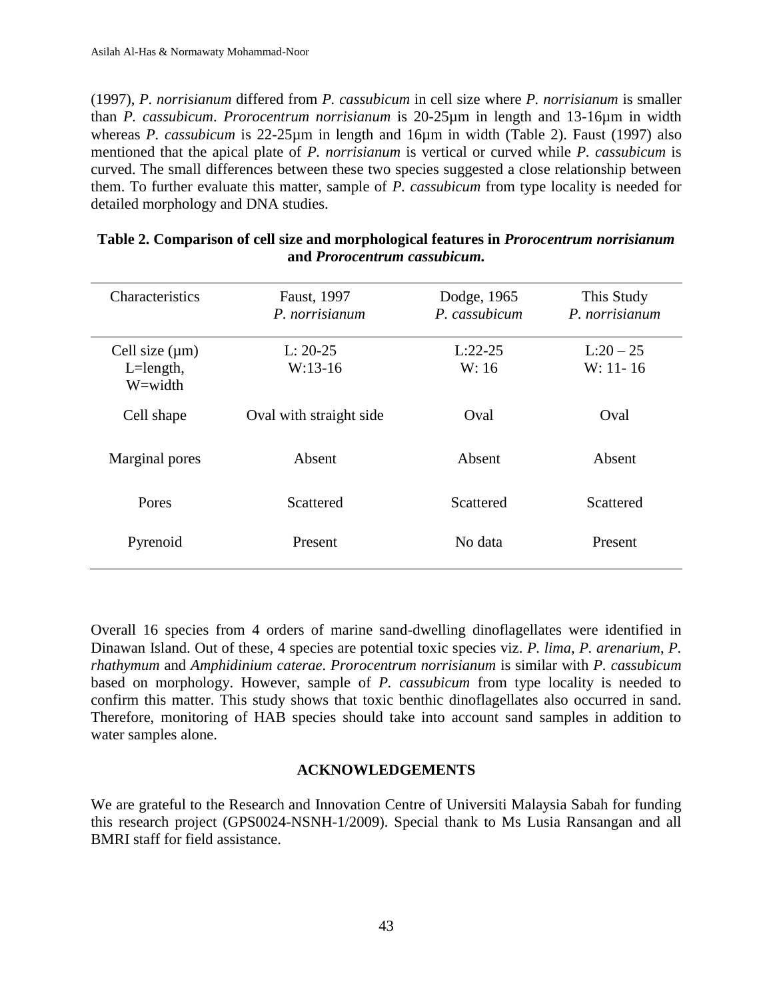(1997), *P. norrisianum* differed from *P. cassubicum* in cell size where *P. norrisianum* is smaller than *P. cassubicum*. *Prorocentrum norrisianum* is 20-25µm in length and 13-16µm in width whereas *P. cassubicum* is 22-25µm in length and 16µm in width (Table 2). Faust (1997) also mentioned that the apical plate of *P. norrisianum* is vertical or curved while *P. cassubicum* is curved. The small differences between these two species suggested a close relationship between them. To further evaluate this matter, sample of *P. cassubicum* from type locality is needed for detailed morphology and DNA studies.

| Characteristics                                  | Faust, 1997<br>P. norrisianum | Dodge, 1965<br>P. cassubicum | This Study<br>P. norrisianum |
|--------------------------------------------------|-------------------------------|------------------------------|------------------------------|
| Cell size $(\mu m)$<br>$L = length$ ,<br>W=width | $L: 20-25$<br>$W:13-16$       | $L:22-25$<br>W: 16           | $L:20-25$<br>$W: 11 - 16$    |
| Cell shape                                       | Oval with straight side       | Oval                         | Oval                         |
| Marginal pores                                   | Absent                        | Absent                       | Absent                       |
| Pores                                            | Scattered                     | Scattered                    | Scattered                    |
| Pyrenoid                                         | Present                       | No data                      | Present                      |

# **Table 2. Comparison of cell size and morphological features in** *Prorocentrum norrisianum*  **and** *Prorocentrum cassubicum.*

Overall 16 species from 4 orders of marine sand-dwelling dinoflagellates were identified in Dinawan Island. Out of these, 4 species are potential toxic species viz. *P. lima*, *P. arenarium*, *P. rhathymum* and *Amphidinium caterae*. *Prorocentrum norrisianum* is similar with *P. cassubicum* based on morphology. However, sample of *P. cassubicum* from type locality is needed to confirm this matter. This study shows that toxic benthic dinoflagellates also occurred in sand. Therefore, monitoring of HAB species should take into account sand samples in addition to water samples alone.

# **ACKNOWLEDGEMENTS**

We are grateful to the Research and Innovation Centre of Universiti Malaysia Sabah for funding this research project (GPS0024-NSNH-1/2009). Special thank to Ms Lusia Ransangan and all BMRI staff for field assistance.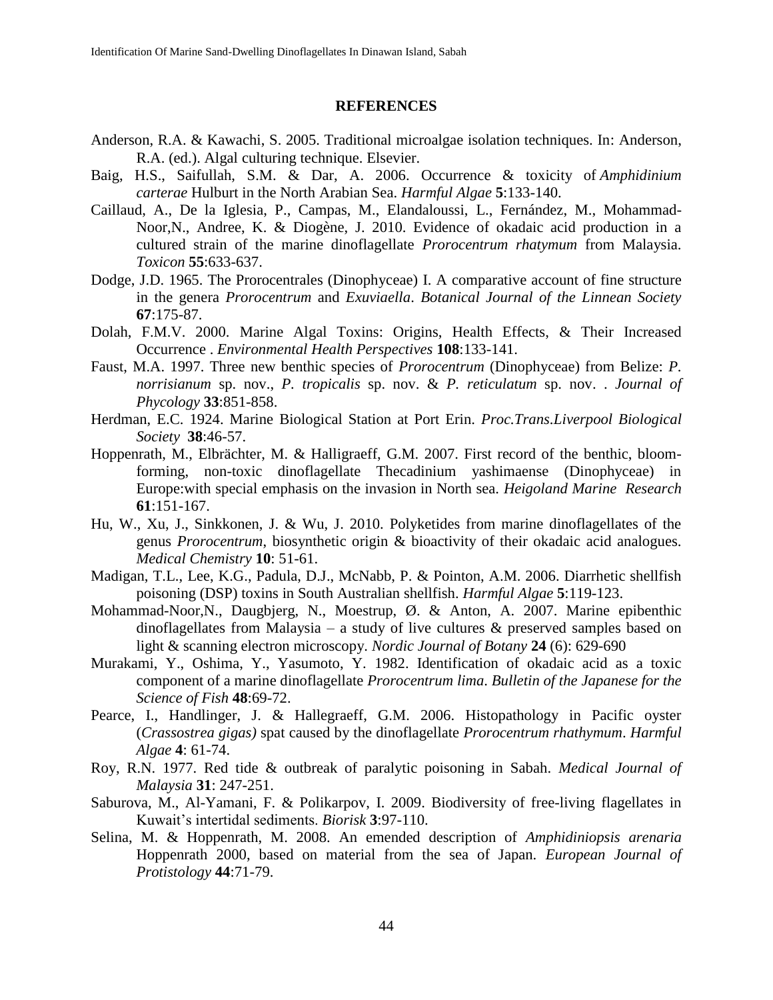#### **REFERENCES**

- Anderson, R.A. & Kawachi, S. 2005. Traditional microalgae isolation techniques. In: Anderson, R.A. (ed.). Algal culturing technique. Elsevier.
- Baig, H.S., Saifullah, S.M. & Dar, A. 2006. Occurrence & toxicity of *Amphidinium carterae* Hulburt in the North Arabian Sea. *Harmful Algae* **5**:133-140.
- Caillaud, A., De la Iglesia, P., Campas, M., Elandaloussi, L., Fernández, M., Mohammad-Noor,N., Andree, K. & Diogène, J. 2010. Evidence of okadaic acid production in a cultured strain of the marine dinoflagellate *Prorocentrum rhatymum* from Malaysia. *Toxicon* **55**:633-637.
- Dodge, J.D. 1965. The Prorocentrales (Dinophyceae) I. A comparative account of fine structure in the genera *Prorocentrum* and *Exuviaella*. *Botanical Journal of the Linnean Society*  **67**:175-87.
- Dolah, F.M.V. 2000. Marine Algal Toxins: Origins, Health Effects, & Their Increased Occurrence . *Environmental Health Perspectives* **108**:133-141.
- Faust, M.A. 1997. Three new benthic species of *Prorocentrum* (Dinophyceae) from Belize: *P. norrisianum* sp. nov., *P. tropicalis* sp. nov. & *P. reticulatum* sp. nov. . *Journal of Phycology* **33**:851-858.
- Herdman, E.C. 1924. Marine Biological Station at Port Erin. *Proc.Trans.Liverpool Biological Society* **38**:46-57.
- Hoppenrath, M., Elbrächter, M. & Halligraeff, G.M. 2007. First record of the benthic, bloomforming, non-toxic dinoflagellate Thecadinium yashimaense (Dinophyceae) in Europe:with special emphasis on the invasion in North sea. *Heigoland Marine Research*  **61**:151-167.
- Hu, W., Xu, J., Sinkkonen, J. & Wu, J. 2010. Polyketides from marine dinoflagellates of the genus *Prorocentrum*, biosynthetic origin & bioactivity of their okadaic acid analogues. *Medical Chemistry* **10**: 51-61.
- Madigan, T.L., Lee, K.G., Padula, D.J., McNabb, P. & Pointon, A.M. 2006. Diarrhetic shellfish poisoning (DSP) toxins in South Australian shellfish. *Harmful Algae* **5**:119-123.
- Mohammad-Noor,N., Daugbjerg, N., Moestrup, Ø. & Anton, A. 2007. Marine epibenthic dinoflagellates from Malaysia – a study of live cultures  $\&$  preserved samples based on light & scanning electron microscopy. *Nordic Journal of Botany* **24** (6): 629-690
- Murakami, Y., Oshima, Y., Yasumoto, Y. 1982. Identification of okadaic acid as a toxic component of a marine dinoflagellate *Prorocentrum lima*. *Bulletin of the Japanese for the Science of Fish* **48**:69-72.
- Pearce, I., Handlinger, J. & Hallegraeff, G.M. 2006. Histopathology in Pacific oyster (*Crassostrea gigas)* spat caused by the dinoflagellate *Prorocentrum rhathymum*. *Harmful Algae* **4**: 61-74.
- Roy, R.N. 1977. Red tide & outbreak of paralytic poisoning in Sabah. *Medical Journal of Malaysia* **31**: 247-251.
- Saburova, M., Al-Yamani, F. & Polikarpov, I. 2009. Biodiversity of free-living flagellates in Kuwait's intertidal sediments. *Biorisk* **3**:97-110.
- Selina, M. & Hoppenrath, M. 2008. An emended description of *Amphidiniopsis arenaria*  Hoppenrath 2000, based on material from the sea of Japan. *European Journal of Protistology* **44**:71-79.